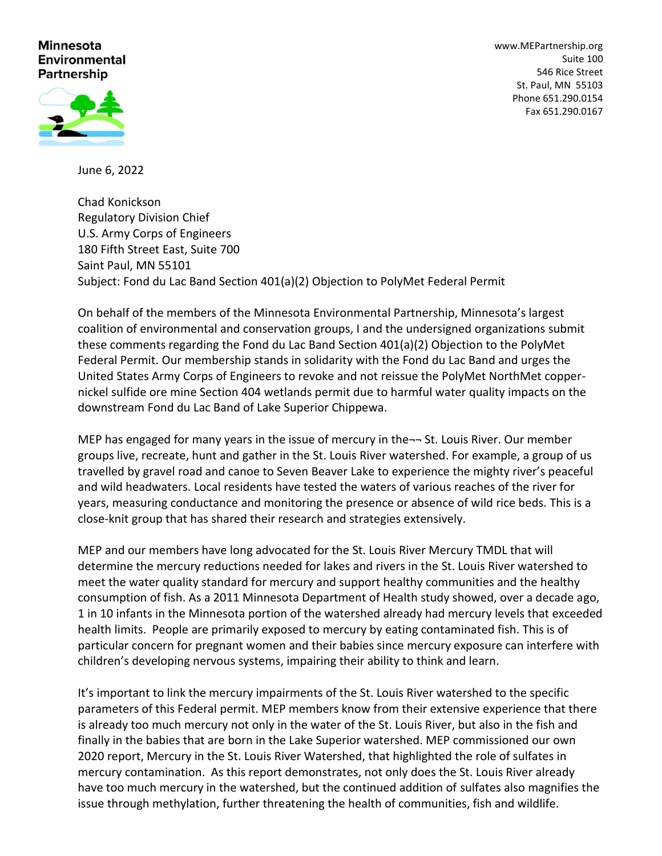## **Minnesota Environmental** Partnership

[www.MEPartnership.org](http://www.mepartnership.org/) Suite 100 546 Rice Street St. Paul, MN 55103 Phone 651.290.0154 Fax 651.290.0167

June 6, 2022

Chad Konickson Regulatory Division Chief U.S. Army Corps of Engineers 180 Fifth Street East, Suite 700 Saint Paul, MN 55101 Subject: Fond du Lac Band Section 401(a)(2) Objection to PolyMet Federal Permit

On behalf of the members of the Minnesota Environmental Partnership, Minnesota's largest coalition of environmental and conservation groups, I and the undersigned organizations submit these comments regarding the Fond du Lac Band Section 401(a)(2) Objection to the PolyMet Federal Permit. Our membership stands in solidarity with the Fond du Lac Band and urges the United States Army Corps of Engineers to revoke and not reissue the PolyMet NorthMet coppernickel sulfide ore mine Section 404 wetlands permit due to harmful water quality impacts on the downstream Fond du Lac Band of Lake Superior Chippewa.

MEP has engaged for many years in the issue of mercury in the- $\neg$  St. Louis River. Our member groups live, recreate, hunt and gather in the St. Louis River watershed. For example, a group of us travelled by gravel road and canoe to Seven Beaver Lake to experience the mighty river's peaceful and wild headwaters. Local residents have tested the waters of various reaches of the river for years, measuring conductance and monitoring the presence or absence of wild rice beds. This is a close-knit group that has shared their research and strategies extensively.

MEP and our members have long advocated for the St. Louis River Mercury TMDL that will determine the mercury reductions needed for lakes and rivers in the St. Louis River watershed to meet the water quality standard for mercury and support healthy communities and the healthy consumption of fish. As a 2011 Minnesota Department of Health study showed, over a decade ago, 1 in 10 infants in the Minnesota portion of the watershed already had mercury levels that exceeded health limits. People are primarily exposed to mercury by eating contaminated fish. This is of particular concern for pregnant women and their babies since mercury exposure can interfere with children's developing nervous systems, impairing their ability to think and learn.

It's important to link the mercury impairments of the St. Louis River watershed to the specific parameters of this Federal permit. MEP members know from their extensive experience that there is already too much mercury not only in the water of the St. Louis River, but also in the fish and finally in the babies that are born in the Lake Superior watershed. MEP commissioned our own 2020 report, Mercury in the St. Louis River Watershed, that highlighted the role of sulfates in mercury contamination. As this report demonstrates, not only does the St. Louis River already have too much mercury in the watershed, but the continued addition of sulfates also magnifies the issue through methylation, further threatening the health of communities, fish and wildlife.